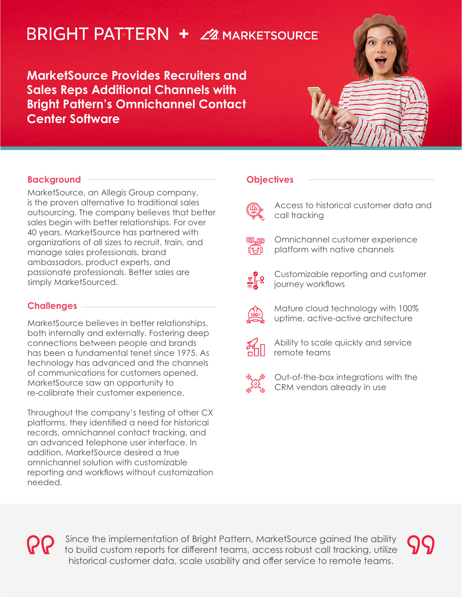# **BRIGHT PATTERN +**  $24$  **marketsource**

**MarketSource Provides Recruiters and Sales Reps Additional Channels with Bright Pattern's Omnichannel Contact Center Software**



# **Background**

MarketSource, an Allegis Group company, is the proven alternative to traditional sales outsourcing. The company believes that better sales begin with better relationships. For over 40 years, MarketSource has partnered with organizations of all sizes to recruit, train, and manage sales professionals, brand ambassadors, product experts, and passionate professionals. Better sales are simply MarketSourced.

# **Challenges**

MarketSource believes in better relationships, both internally and externally. Fostering deep connections between people and brands has been a fundamental tenet since 1975. As technology has advanced and the channels of communications for customers opened, MarketSource saw an opportunity to re-calibrate their customer experience.

Throughout the company's testing of other CX platforms, they identified a need for historical records, omnichannel contact tracking, and an advanced telephone user interface. In addition, MarketSource desired a true omnichannel solution with customizable reporting and workflows without customization needed.

# **Objectives**



Access to historical customer data and call tracking

பூ

Omnichannel customer experience platform with native channels



Customizable reporting and customer journey workflows



Mature cloud technology with 100% uptime, active-active architecture



Ability to scale quickly and service remote teams



Out-of-the-box integrations with the CRM vendors already in use

Since the implementation of Bright Pattern, MarketSource gained the ability to build custom reports for different teams, access robust call tracking, utilize historical customer data, scale usability and offer service to remote teams.